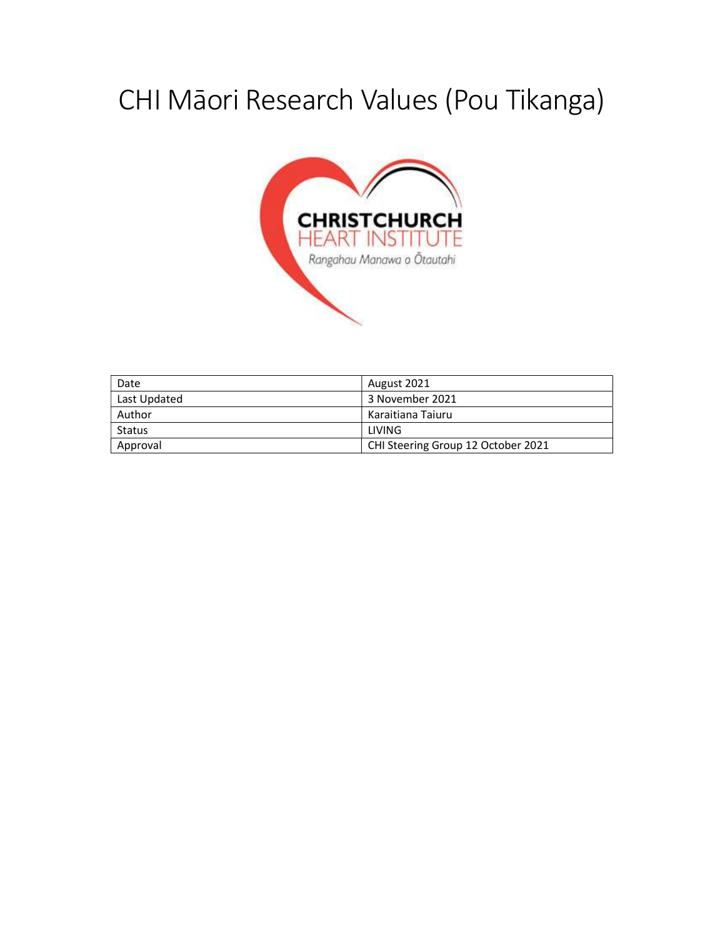# CHI Māori Research Values (Pou Tikanga)



| Date         | August 2021                        |
|--------------|------------------------------------|
| Last Updated | 3 November 2021                    |
| Author       | Karaitiana Taiuru                  |
| Status       | LIVING                             |
| Approval     | CHI Steering Group 12 October 2021 |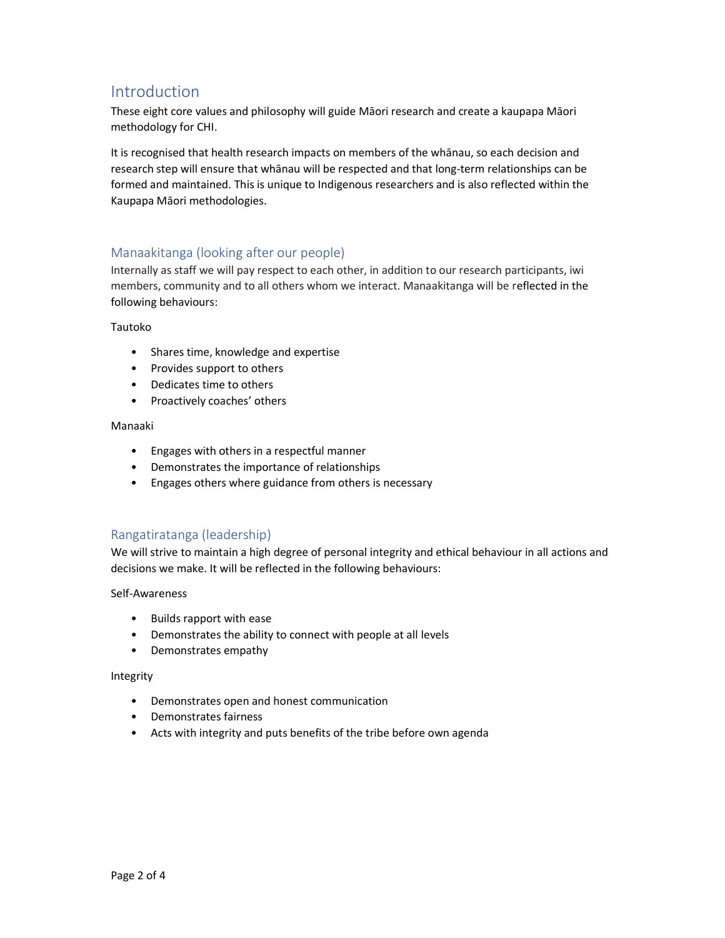# Introduction

These eight core values and philosophy will guide Māori research and create a kaupapa Māori methodology for CHI.

It is recognised that health research impacts on members of the whānau, so each decision and research step will ensure that whānau will be respected and that long-term relationships can be formed and maintained. This is unique to Indigenous researchers and is also reflected within the Kaupapa Māori methodologies.

## Manaakitanga (looking after our people)

Internally as staff we will pay respect to each other, in addition to our research participants, iwi members, community and to all others whom we interact. Manaakitanga will be reflected in the following behaviours:

Tautoko

- Shares time, knowledge and expertise
- Provides support to others
- Dedicates time to others
- Proactively coaches' others

#### Manaaki

- Engages with others in a respectful manner
- Demonstrates the importance of relationships
- Engages others where guidance from others is necessary

## Rangatiratanga (leadership)

We will strive to maintain a high degree of personal integrity and ethical behaviour in all actions and decisions we make. It will be reflected in the following behaviours:

Self-Awareness

- Builds rapport with ease
- Demonstrates the ability to connect with people at all levels
- Demonstrates empathy

### Integrity

- Demonstrates open and honest communication
- Demonstrates fairness
- Acts with integrity and puts benefits of the tribe before own agenda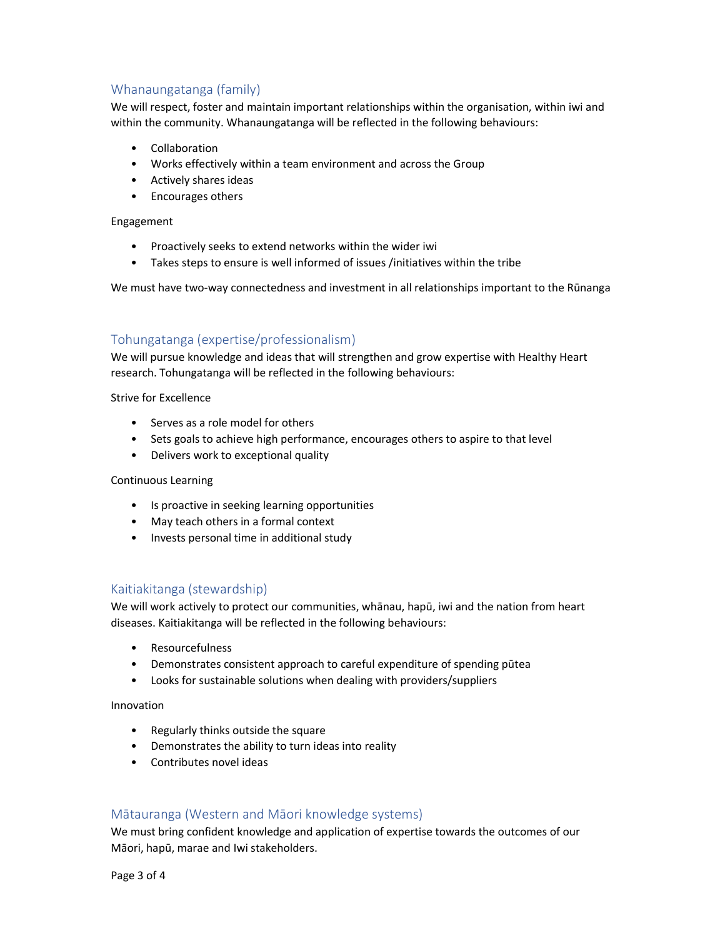## Whanaungatanga (family)

We will respect, foster and maintain important relationships within the organisation, within iwi and within the community. Whanaungatanga will be reflected in the following behaviours:

- Collaboration
- Works effectively within a team environment and across the Group
- Actively shares ideas
- Encourages others

#### Engagement

- Proactively seeks to extend networks within the wider iwi
- Takes steps to ensure is well informed of issues /initiatives within the tribe

We must have two-way connectedness and investment in all relationships important to the Rūnanga

## Tohungatanga (expertise/professionalism)

We will pursue knowledge and ideas that will strengthen and grow expertise with Healthy Heart research. Tohungatanga will be reflected in the following behaviours:

Strive for Excellence

- Serves as a role model for others
- Sets goals to achieve high performance, encourages others to aspire to that level
- Delivers work to exceptional quality

#### Continuous Learning

- Is proactive in seeking learning opportunities
- May teach others in a formal context
- Invests personal time in additional study

### Kaitiakitanga (stewardship)

We will work actively to protect our communities, whānau, hapū, iwi and the nation from heart diseases. Kaitiakitanga will be reflected in the following behaviours:

- Resourcefulness
- Demonstrates consistent approach to careful expenditure of spending pūtea
- Looks for sustainable solutions when dealing with providers/suppliers

#### Innovation

- Regularly thinks outside the square
- Demonstrates the ability to turn ideas into reality
- Contributes novel ideas

## Mātauranga (Western and Māori knowledge systems)

We must bring confident knowledge and application of expertise towards the outcomes of our Māori, hapū, marae and Iwi stakeholders.